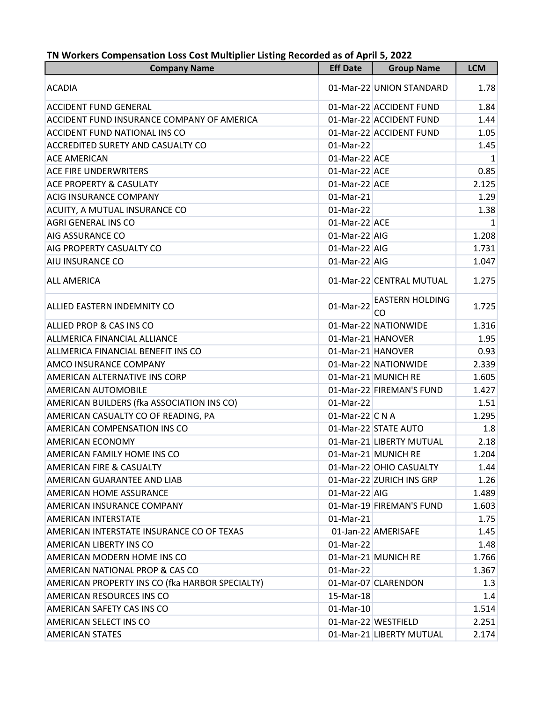| <b>Company Name</b>                             | <b>Eff Date</b>   | <b>Group Name</b>            | <b>LCM</b> |
|-------------------------------------------------|-------------------|------------------------------|------------|
| <b>ACADIA</b>                                   |                   | 01-Mar-22 UNION STANDARD     | 1.78       |
| <b>ACCIDENT FUND GENERAL</b>                    |                   | 01-Mar-22 ACCIDENT FUND      | 1.84       |
| ACCIDENT FUND INSURANCE COMPANY OF AMERICA      |                   | 01-Mar-22 ACCIDENT FUND      | 1.44       |
| <b>ACCIDENT FUND NATIONAL INS CO</b>            |                   | 01-Mar-22 ACCIDENT FUND      | 1.05       |
| <b>ACCREDITED SURETY AND CASUALTY CO</b>        | 01-Mar-22         |                              | 1.45       |
| <b>ACE AMERICAN</b>                             | 01-Mar-22 ACE     |                              | 1          |
| <b>ACE FIRE UNDERWRITERS</b>                    | 01-Mar-22 ACE     |                              | 0.85       |
| <b>ACE PROPERTY &amp; CASULATY</b>              | 01-Mar-22 ACE     |                              | 2.125      |
| <b>ACIG INSURANCE COMPANY</b>                   | 01-Mar-21         |                              | 1.29       |
| ACUITY, A MUTUAL INSURANCE CO                   | 01-Mar-22         |                              | 1.38       |
| <b>AGRI GENERAL INS CO</b>                      | 01-Mar-22 ACE     |                              | 1          |
| <b>AIG ASSURANCE CO</b>                         | 01-Mar-22 AIG     |                              | 1.208      |
| AIG PROPERTY CASUALTY CO                        | 01-Mar-22 AIG     |                              | 1.731      |
| AIU INSURANCE CO                                | 01-Mar-22 AIG     |                              | 1.047      |
| <b>ALL AMERICA</b>                              |                   | 01-Mar-22 CENTRAL MUTUAL     | 1.275      |
| ALLIED EASTERN INDEMNITY CO                     | 01-Mar-22         | <b>EASTERN HOLDING</b><br>CO | 1.725      |
| ALLIED PROP & CAS INS CO                        |                   | 01-Mar-22 NATIONWIDE         | 1.316      |
| ALLMERICA FINANCIAL ALLIANCE                    |                   | 01-Mar-21 HANOVER            | 1.95       |
| ALLMERICA FINANCIAL BENEFIT INS CO              | 01-Mar-21 HANOVER |                              | 0.93       |
| AMCO INSURANCE COMPANY                          |                   | 01-Mar-22 NATIONWIDE         | 2.339      |
| AMERICAN ALTERNATIVE INS CORP                   |                   | 01-Mar-21 MUNICH RE          | 1.605      |
| <b>AMERICAN AUTOMOBILE</b>                      |                   | 01-Mar-22 FIREMAN'S FUND     | 1.427      |
| AMERICAN BUILDERS (fka ASSOCIATION INS CO)      | 01-Mar-22         |                              | 1.51       |
| AMERICAN CASUALTY CO OF READING, PA             | 01-Mar-22 C N A   |                              | 1.295      |
| AMERICAN COMPENSATION INS CO                    |                   | 01-Mar-22 STATE AUTO         | 1.8        |
| <b>AMERICAN ECONOMY</b>                         |                   | 01-Mar-21 LIBERTY MUTUAL     | 2.18       |
| AMERICAN FAMILY HOME INS CO                     |                   | 01-Mar-21 MUNICH RE          | 1.204      |
| <b>AMERICAN FIRE &amp; CASUALTY</b>             |                   | 01-Mar-22 OHIO CASUALTY      | 1.44       |
| AMERICAN GUARANTEE AND LIAB                     |                   | 01-Mar-22 ZURICH INS GRP     | 1.26       |
| AMERICAN HOME ASSURANCE                         | 01-Mar-22 AIG     |                              | 1.489      |
| AMERICAN INSURANCE COMPANY                      |                   | 01-Mar-19 FIREMAN'S FUND     | 1.603      |
| <b>AMERICAN INTERSTATE</b>                      | 01-Mar-21         |                              | 1.75       |
| AMERICAN INTERSTATE INSURANCE CO OF TEXAS       |                   | 01-Jan-22 AMERISAFE          | 1.45       |
| AMERICAN LIBERTY INS CO                         | 01-Mar-22         |                              | 1.48       |
| AMERICAN MODERN HOME INS CO                     |                   | 01-Mar-21 MUNICH RE          | 1.766      |
| AMERICAN NATIONAL PROP & CAS CO                 | 01-Mar-22         |                              | 1.367      |
| AMERICAN PROPERTY INS CO (fka HARBOR SPECIALTY) |                   | 01-Mar-07 CLARENDON          | 1.3        |
| AMERICAN RESOURCES INS CO                       | 15-Mar-18         |                              | 1.4        |
| AMERICAN SAFETY CAS INS CO                      | 01-Mar-10         |                              | 1.514      |
| AMERICAN SELECT INS CO                          |                   | 01-Mar-22 WESTFIELD          | 2.251      |
| <b>AMERICAN STATES</b>                          |                   | 01-Mar-21 LIBERTY MUTUAL     | 2.174      |

## TN Workers Compensation Loss Cost Multiplier Listing Recorded as of April 5, 2022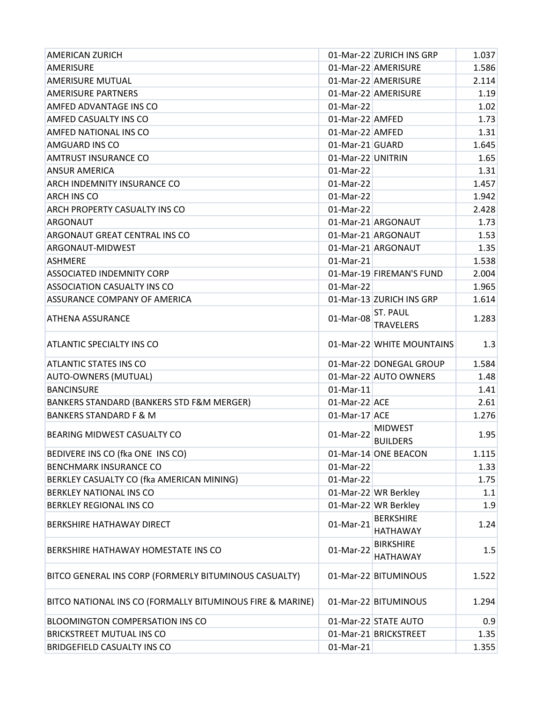| <b>AMERICAN ZURICH</b>                                    |                   | 01-Mar-22 ZURICH INS GRP            | 1.037 |
|-----------------------------------------------------------|-------------------|-------------------------------------|-------|
| AMERISURE                                                 |                   | 01-Mar-22 AMERISURE                 | 1.586 |
| <b>AMERISURE MUTUAL</b>                                   |                   | 01-Mar-22 AMERISURE                 | 2.114 |
| <b>AMERISURE PARTNERS</b>                                 |                   | 01-Mar-22 AMERISURE                 | 1.19  |
| AMFED ADVANTAGE INS CO                                    | 01-Mar-22         |                                     | 1.02  |
| <b>AMFED CASUALTY INS CO</b>                              | 01-Mar-22 AMFED   |                                     | 1.73  |
| AMFED NATIONAL INS CO                                     | 01-Mar-22 AMFED   |                                     | 1.31  |
| <b>AMGUARD INS CO</b>                                     | 01-Mar-21 GUARD   |                                     | 1.645 |
| <b>AMTRUST INSURANCE CO</b>                               | 01-Mar-22 UNITRIN |                                     | 1.65  |
| <b>ANSUR AMERICA</b>                                      | 01-Mar-22         |                                     | 1.31  |
| <b>ARCH INDEMNITY INSURANCE CO</b>                        | 01-Mar-22         |                                     | 1.457 |
| <b>ARCH INS CO</b>                                        | 01-Mar-22         |                                     | 1.942 |
| ARCH PROPERTY CASUALTY INS CO                             | 01-Mar-22         |                                     | 2.428 |
| <b>ARGONAUT</b>                                           |                   | 01-Mar-21 ARGONAUT                  | 1.73  |
| ARGONAUT GREAT CENTRAL INS CO                             |                   | 01-Mar-21 ARGONAUT                  | 1.53  |
| ARGONAUT-MIDWEST                                          |                   | 01-Mar-21 ARGONAUT                  | 1.35  |
| ASHMERE                                                   | 01-Mar-21         |                                     | 1.538 |
| <b>ASSOCIATED INDEMNITY CORP</b>                          |                   | 01-Mar-19 FIREMAN'S FUND            | 2.004 |
| <b>ASSOCIATION CASUALTY INS CO</b>                        | 01-Mar-22         |                                     | 1.965 |
| ASSURANCE COMPANY OF AMERICA                              |                   | 01-Mar-13 ZURICH INS GRP            | 1.614 |
|                                                           |                   | <b>ST. PAUL</b>                     |       |
| <b>ATHENA ASSURANCE</b>                                   | 01-Mar-08         | <b>TRAVELERS</b>                    | 1.283 |
| <b>ATLANTIC SPECIALTY INS CO</b>                          |                   | 01-Mar-22 WHITE MOUNTAINS           | 1.3   |
| <b>ATLANTIC STATES INS CO</b>                             |                   | 01-Mar-22 DONEGAL GROUP             | 1.584 |
| <b>AUTO-OWNERS (MUTUAL)</b>                               |                   | 01-Mar-22 AUTO OWNERS               | 1.48  |
| <b>BANCINSURE</b>                                         | 01-Mar-11         |                                     | 1.41  |
| BANKERS STANDARD (BANKERS STD F&M MERGER)                 | 01-Mar-22 ACE     |                                     | 2.61  |
| <b>BANKERS STANDARD F &amp; M</b>                         | $01$ -Mar-17 ACE  |                                     | 1.276 |
| <b>BEARING MIDWEST CASUALTY CO</b>                        | 01-Mar-22         | <b>MIDWEST</b><br><b>BUILDERS</b>   | 1.95  |
| BEDIVERE INS CO (fka ONE INS CO)                          |                   | 01-Mar-14 ONE BEACON                | 1.115 |
| <b>BENCHMARK INSURANCE CO</b>                             | 01-Mar-22         |                                     | 1.33  |
| BERKLEY CASUALTY CO (fka AMERICAN MINING)                 | 01-Mar-22         |                                     | 1.75  |
| BERKLEY NATIONAL INS CO                                   |                   | 01-Mar-22 WR Berkley                | 1.1   |
| <b>BERKLEY REGIONAL INS CO</b>                            |                   | 01-Mar-22 WR Berkley                | 1.9   |
| BERKSHIRE HATHAWAY DIRECT                                 | 01-Mar-21         | <b>BERKSHIRE</b><br><b>HATHAWAY</b> | 1.24  |
| BERKSHIRE HATHAWAY HOMESTATE INS CO                       | 01-Mar-22         | <b>BIRKSHIRE</b><br><b>HATHAWAY</b> | 1.5   |
| BITCO GENERAL INS CORP (FORMERLY BITUMINOUS CASUALTY)     |                   | 01-Mar-22 BITUMINOUS                | 1.522 |
| BITCO NATIONAL INS CO (FORMALLY BITUMINOUS FIRE & MARINE) |                   | 01-Mar-22 BITUMINOUS                | 1.294 |
| <b>BLOOMINGTON COMPERSATION INS CO</b>                    |                   | 01-Mar-22 STATE AUTO                | 0.9   |
| <b>BRICKSTREET MUTUAL INS CO</b>                          |                   | 01-Mar-21 BRICKSTREET               | 1.35  |
| <b>BRIDGEFIELD CASUALTY INS CO</b>                        | 01-Mar-21         |                                     | 1.355 |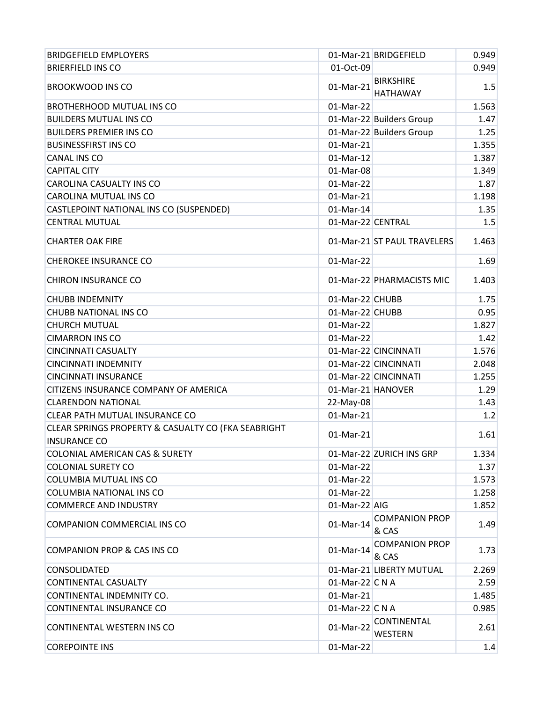| <b>BRIDGEFIELD EMPLOYERS</b>                                               |                   | 01-Mar-21 BRIDGEFIELD                | 0.949 |
|----------------------------------------------------------------------------|-------------------|--------------------------------------|-------|
| <b>BRIERFIELD INS CO</b>                                                   | 01-Oct-09         |                                      | 0.949 |
| <b>BROOKWOOD INS CO</b>                                                    | 01-Mar-21         | <b>BIRKSHIRE</b><br><b>HATHAWAY</b>  | 1.5   |
| <b>BROTHERHOOD MUTUAL INS CO</b>                                           | 01-Mar-22         |                                      | 1.563 |
| <b>BUILDERS MUTUAL INS CO</b>                                              |                   | 01-Mar-22 Builders Group             | 1.47  |
| <b>BUILDERS PREMIER INS CO</b>                                             |                   | 01-Mar-22 Builders Group             | 1.25  |
| <b>BUSINESSFIRST INS CO</b>                                                | 01-Mar-21         |                                      | 1.355 |
| <b>CANAL INS CO</b>                                                        | 01-Mar-12         |                                      | 1.387 |
| <b>CAPITAL CITY</b>                                                        | 01-Mar-08         |                                      | 1.349 |
| <b>CAROLINA CASUALTY INS CO</b>                                            | 01-Mar-22         |                                      | 1.87  |
| <b>CAROLINA MUTUAL INS CO</b>                                              | 01-Mar-21         |                                      | 1.198 |
| CASTLEPOINT NATIONAL INS CO (SUSPENDED)                                    | 01-Mar-14         |                                      | 1.35  |
| <b>CENTRAL MUTUAL</b>                                                      | 01-Mar-22 CENTRAL |                                      | 1.5   |
| <b>CHARTER OAK FIRE</b>                                                    |                   | 01-Mar-21 ST PAUL TRAVELERS          | 1.463 |
| <b>CHEROKEE INSURANCE CO</b>                                               | 01-Mar-22         |                                      | 1.69  |
| <b>CHIRON INSURANCE CO</b>                                                 |                   | 01-Mar-22 PHARMACISTS MIC            | 1.403 |
| <b>CHUBB INDEMNITY</b>                                                     | 01-Mar-22 CHUBB   |                                      | 1.75  |
| CHUBB NATIONAL INS CO                                                      | 01-Mar-22 CHUBB   |                                      | 0.95  |
| <b>CHURCH MUTUAL</b>                                                       | 01-Mar-22         |                                      | 1.827 |
| <b>CIMARRON INS CO</b>                                                     | 01-Mar-22         |                                      | 1.42  |
| <b>CINCINNATI CASUALTY</b>                                                 |                   | 01-Mar-22 CINCINNATI                 | 1.576 |
| <b>CINCINNATI INDEMNITY</b>                                                |                   | 01-Mar-22 CINCINNATI                 | 2.048 |
| <b>CINCINNATI INSURANCE</b>                                                |                   | 01-Mar-22 CINCINNATI                 | 1.255 |
| CITIZENS INSURANCE COMPANY OF AMERICA                                      | 01-Mar-21 HANOVER |                                      | 1.29  |
| <b>CLARENDON NATIONAL</b>                                                  | 22-May-08         |                                      | 1.43  |
| CLEAR PATH MUTUAL INSURANCE CO                                             | 01-Mar-21         |                                      | 1.2   |
| CLEAR SPRINGS PROPERTY & CASUALTY CO (FKA SEABRIGHT<br><b>INSURANCE CO</b> | 01-Mar-21         |                                      | 1.61  |
| <b>COLONIAL AMERICAN CAS &amp; SURETY</b>                                  |                   | 01-Mar-22 ZURICH INS GRP             | 1.334 |
| <b>COLONIAL SURETY CO</b>                                                  | 01-Mar-22         |                                      | 1.37  |
| COLUMBIA MUTUAL INS CO                                                     | 01-Mar-22         |                                      | 1.573 |
| COLUMBIA NATIONAL INS CO                                                   | 01-Mar-22         |                                      | 1.258 |
| <b>COMMERCE AND INDUSTRY</b>                                               | $01$ -Mar-22 AIG  |                                      | 1.852 |
| COMPANION COMMERCIAL INS CO                                                | 01-Mar-14         | <b>COMPANION PROP</b><br>& CAS       | 1.49  |
| <b>COMPANION PROP &amp; CAS INS CO</b>                                     | 01-Mar-14         | <b>COMPANION PROP</b><br>& CAS       | 1.73  |
| <b>CONSOLIDATED</b>                                                        |                   | 01-Mar-21 LIBERTY MUTUAL             | 2.269 |
| <b>CONTINENTAL CASUALTY</b>                                                | 01-Mar-22 C N A   |                                      | 2.59  |
| CONTINENTAL INDEMNITY CO.                                                  | 01-Mar-21         |                                      | 1.485 |
| CONTINENTAL INSURANCE CO                                                   | 01-Mar-22 C N A   |                                      | 0.985 |
| CONTINENTAL WESTERN INS CO                                                 | 01-Mar-22         | <b>CONTINENTAL</b><br><b>WESTERN</b> | 2.61  |
| <b>COREPOINTE INS</b>                                                      | 01-Mar-22         |                                      | 1.4   |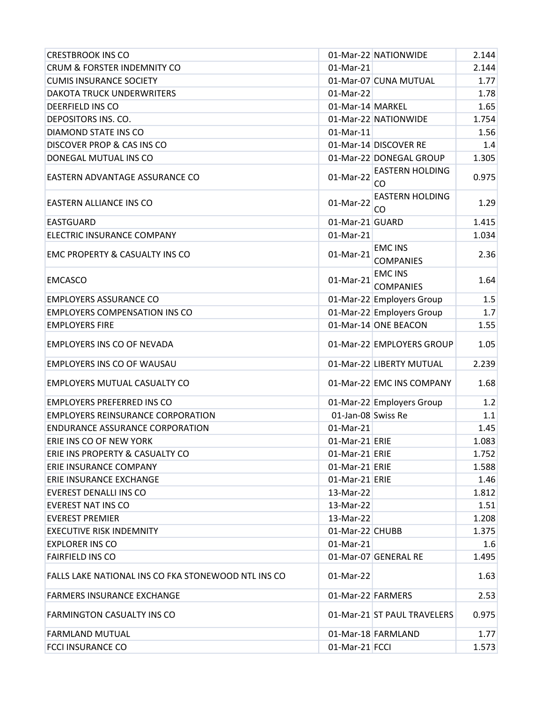| <b>CRESTBROOK INS CO</b>                            |                    | 01-Mar-22 NATIONWIDE               | 2.144 |
|-----------------------------------------------------|--------------------|------------------------------------|-------|
| CRUM & FORSTER INDEMNITY CO                         | 01-Mar-21          |                                    | 2.144 |
| <b>CUMIS INSURANCE SOCIETY</b>                      |                    | 01-Mar-07 CUNA MUTUAL              | 1.77  |
| <b>DAKOTA TRUCK UNDERWRITERS</b>                    | 01-Mar-22          |                                    | 1.78  |
| <b>DEERFIELD INS CO</b>                             | 01-Mar-14 MARKEL   |                                    | 1.65  |
| DEPOSITORS INS. CO.                                 |                    | 01-Mar-22 NATIONWIDE               | 1.754 |
| DIAMOND STATE INS CO                                | 01-Mar-11          |                                    | 1.56  |
| <b>DISCOVER PROP &amp; CAS INS CO</b>               |                    | 01-Mar-14 DISCOVER RE              | 1.4   |
| DONEGAL MUTUAL INS CO                               |                    | 01-Mar-22 DONEGAL GROUP            | 1.305 |
| EASTERN ADVANTAGE ASSURANCE CO                      | 01-Mar-22          | <b>EASTERN HOLDING</b><br>CO       | 0.975 |
| EASTERN ALLIANCE INS CO                             | 01-Mar-22          | <b>EASTERN HOLDING</b><br>CO       | 1.29  |
| EASTGUARD                                           | 01-Mar-21 GUARD    |                                    | 1.415 |
| ELECTRIC INSURANCE COMPANY                          | 01-Mar-21          |                                    | 1.034 |
| <b>EMC PROPERTY &amp; CASUALTY INS CO</b>           | 01-Mar-21          | <b>EMC INS</b><br><b>COMPANIES</b> | 2.36  |
| <b>EMCASCO</b>                                      | 01-Mar-21          | <b>EMC INS</b><br><b>COMPANIES</b> | 1.64  |
| <b>EMPLOYERS ASSURANCE CO</b>                       |                    | 01-Mar-22 Employers Group          | 1.5   |
| <b>EMPLOYERS COMPENSATION INS CO</b>                |                    | 01-Mar-22 Employers Group          | 1.7   |
| <b>EMPLOYERS FIRE</b>                               |                    | 01-Mar-14 ONE BEACON               | 1.55  |
| EMPLOYERS INS CO OF NEVADA                          |                    | 01-Mar-22 EMPLOYERS GROUP          | 1.05  |
| EMPLOYERS INS CO OF WAUSAU                          |                    | 01-Mar-22 LIBERTY MUTUAL           | 2.239 |
| <b>EMPLOYERS MUTUAL CASUALTY CO</b>                 |                    | 01-Mar-22 EMC INS COMPANY          | 1.68  |
| <b>EMPLOYERS PREFERRED INS CO</b>                   |                    | 01-Mar-22 Employers Group          | 1.2   |
| <b>EMPLOYERS REINSURANCE CORPORATION</b>            | 01-Jan-08 Swiss Re |                                    | 1.1   |
| <b>ENDURANCE ASSURANCE CORPORATION</b>              | 01-Mar-21          |                                    | 1.45  |
| ERIE INS CO OF NEW YORK                             | 01-Mar-21 ERIE     |                                    | 1.083 |
| ERIE INS PROPERTY & CASUALTY CO                     | 01-Mar-21 ERIE     |                                    | 1.752 |
| <b>ERIE INSURANCE COMPANY</b>                       | $01$ -Mar-21 ERIE  |                                    | 1.588 |
| <b>ERIE INSURANCE EXCHANGE</b>                      | 01-Mar-21 ERIE     |                                    | 1.46  |
| EVEREST DENALLI INS CO                              | 13-Mar-22          |                                    | 1.812 |
| <b>EVEREST NAT INS CO</b>                           | 13-Mar-22          |                                    | 1.51  |
| <b>EVEREST PREMIER</b>                              | 13-Mar-22          |                                    | 1.208 |
| <b>EXECUTIVE RISK INDEMNITY</b>                     | 01-Mar-22 CHUBB    |                                    | 1.375 |
| <b>EXPLORER INS CO</b>                              | 01-Mar-21          |                                    | 1.6   |
| <b>FAIRFIELD INS CO</b>                             |                    | 01-Mar-07 GENERAL RE               | 1.495 |
| FALLS LAKE NATIONAL INS CO FKA STONEWOOD NTL INS CO | 01-Mar-22          |                                    | 1.63  |
| <b>FARMERS INSURANCE EXCHANGE</b>                   | 01-Mar-22 FARMERS  |                                    | 2.53  |
| <b>FARMINGTON CASUALTY INS CO</b>                   |                    | 01-Mar-21 ST PAUL TRAVELERS        | 0.975 |
| <b>FARMLAND MUTUAL</b>                              |                    | 01-Mar-18 FARMLAND                 | 1.77  |
| <b>FCCI INSURANCE CO</b>                            | 01-Mar-21 FCCI     |                                    | 1.573 |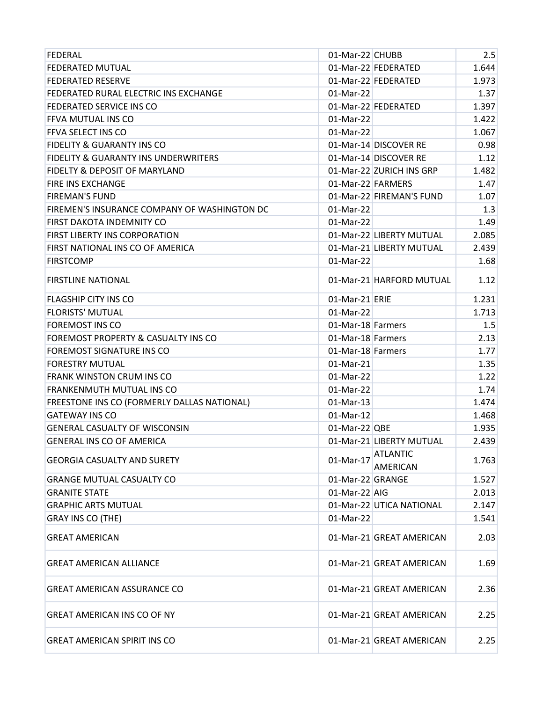| FEDERAL                                         | 01-Mar-22 CHUBB   |                                    | 2.5   |
|-------------------------------------------------|-------------------|------------------------------------|-------|
| <b>FEDERATED MUTUAL</b>                         |                   | 01-Mar-22 FEDERATED                | 1.644 |
| <b>FEDERATED RESERVE</b>                        |                   | 01-Mar-22 FEDERATED                | 1.973 |
| FEDERATED RURAL ELECTRIC INS EXCHANGE           | 01-Mar-22         |                                    | 1.37  |
| FEDERATED SERVICE INS CO                        |                   | 01-Mar-22 FEDERATED                | 1.397 |
| FFVA MUTUAL INS CO                              | 01-Mar-22         |                                    | 1.422 |
| FFVA SELECT INS CO                              | 01-Mar-22         |                                    | 1.067 |
| <b>FIDELITY &amp; GUARANTY INS CO</b>           |                   | 01-Mar-14 DISCOVER RE              | 0.98  |
| <b>FIDELITY &amp; GUARANTY INS UNDERWRITERS</b> |                   | 01-Mar-14 DISCOVER RE              | 1.12  |
| <b>FIDELTY &amp; DEPOSIT OF MARYLAND</b>        |                   | 01-Mar-22 ZURICH INS GRP           | 1.482 |
| FIRE INS EXCHANGE                               | 01-Mar-22 FARMERS |                                    | 1.47  |
| <b>FIREMAN'S FUND</b>                           |                   | 01-Mar-22 FIREMAN'S FUND           | 1.07  |
| FIREMEN'S INSURANCE COMPANY OF WASHINGTON DC    | 01-Mar-22         |                                    | 1.3   |
| FIRST DAKOTA INDEMNITY CO                       | 01-Mar-22         |                                    | 1.49  |
| FIRST LIBERTY INS CORPORATION                   |                   | 01-Mar-22 LIBERTY MUTUAL           | 2.085 |
| FIRST NATIONAL INS CO OF AMERICA                |                   | 01-Mar-21 LIBERTY MUTUAL           | 2.439 |
| <b>FIRSTCOMP</b>                                | 01-Mar-22         |                                    | 1.68  |
| <b>FIRSTLINE NATIONAL</b>                       |                   | 01-Mar-21 HARFORD MUTUAL           | 1.12  |
| <b>FLAGSHIP CITY INS CO</b>                     | 01-Mar-21 ERIE    |                                    | 1.231 |
| <b>FLORISTS' MUTUAL</b>                         | 01-Mar-22         |                                    | 1.713 |
| <b>FOREMOST INS CO</b>                          | 01-Mar-18 Farmers |                                    | 1.5   |
| FOREMOST PROPERTY & CASUALTY INS CO             | 01-Mar-18 Farmers |                                    | 2.13  |
| FOREMOST SIGNATURE INS CO                       | 01-Mar-18 Farmers |                                    | 1.77  |
| <b>FORESTRY MUTUAL</b>                          | 01-Mar-21         |                                    | 1.35  |
| <b>FRANK WINSTON CRUM INS CO</b>                | 01-Mar-22         |                                    | 1.22  |
| FRANKENMUTH MUTUAL INS CO                       | 01-Mar-22         |                                    | 1.74  |
| FREESTONE INS CO (FORMERLY DALLAS NATIONAL)     | 01-Mar-13         |                                    | 1.474 |
| <b>GATEWAY INS CO</b>                           | 01-Mar-12         |                                    | 1.468 |
| <b>GENERAL CASUALTY OF WISCONSIN</b>            | $01$ -Mar-22 QBE  |                                    | 1.935 |
| <b>GENERAL INS CO OF AMERICA</b>                |                   | 01-Mar-21 LIBERTY MUTUAL           | 2.439 |
| <b>GEORGIA CASUALTY AND SURETY</b>              | 01-Mar-17         | <b>ATLANTIC</b><br><b>AMERICAN</b> | 1.763 |
| <b>GRANGE MUTUAL CASUALTY CO</b>                | 01-Mar-22 GRANGE  |                                    | 1.527 |
| <b>GRANITE STATE</b>                            | $01-Mar-22$ AIG   |                                    | 2.013 |
| <b>GRAPHIC ARTS MUTUAL</b>                      |                   | 01-Mar-22 UTICA NATIONAL           | 2.147 |
| GRAY INS CO (THE)                               | 01-Mar-22         |                                    | 1.541 |
| <b>GREAT AMERICAN</b>                           |                   | 01-Mar-21 GREAT AMERICAN           | 2.03  |
| <b>GREAT AMERICAN ALLIANCE</b>                  |                   | 01-Mar-21 GREAT AMERICAN           | 1.69  |
| <b>GREAT AMERICAN ASSURANCE CO</b>              |                   | 01-Mar-21 GREAT AMERICAN           | 2.36  |
| <b>GREAT AMERICAN INS CO OF NY</b>              |                   | 01-Mar-21 GREAT AMERICAN           | 2.25  |
| <b>GREAT AMERICAN SPIRIT INS CO</b>             |                   | 01-Mar-21 GREAT AMERICAN           | 2.25  |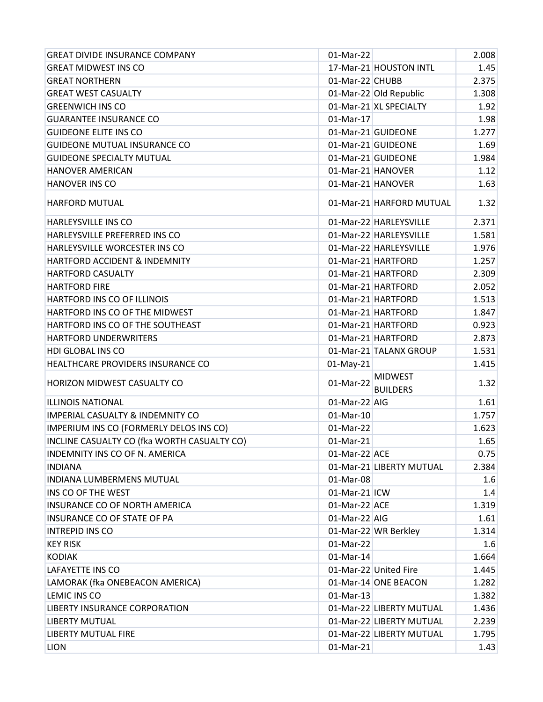| <b>GREAT DIVIDE INSURANCE COMPANY</b>       | 01-Mar-22         |                                   | 2.008 |
|---------------------------------------------|-------------------|-----------------------------------|-------|
| <b>GREAT MIDWEST INS CO</b>                 |                   | 17-Mar-21 HOUSTON INTL            | 1.45  |
| <b>GREAT NORTHERN</b>                       | 01-Mar-22 CHUBB   |                                   | 2.375 |
| <b>GREAT WEST CASUALTY</b>                  |                   | 01-Mar-22 Old Republic            | 1.308 |
| <b>GREENWICH INS CO</b>                     |                   | 01-Mar-21 XL SPECIALTY            | 1.92  |
| <b>GUARANTEE INSURANCE CO</b>               | 01-Mar-17         |                                   | 1.98  |
| <b>GUIDEONE ELITE INS CO</b>                |                   | 01-Mar-21 GUIDEONE                | 1.277 |
| <b>GUIDEONE MUTUAL INSURANCE CO</b>         |                   | 01-Mar-21 GUIDEONE                | 1.69  |
| <b>GUIDEONE SPECIALTY MUTUAL</b>            |                   | 01-Mar-21 GUIDEONE                | 1.984 |
| <b>HANOVER AMERICAN</b>                     | 01-Mar-21 HANOVER |                                   | 1.12  |
| <b>HANOVER INS CO</b>                       | 01-Mar-21 HANOVER |                                   | 1.63  |
| <b>HARFORD MUTUAL</b>                       |                   | 01-Mar-21 HARFORD MUTUAL          | 1.32  |
| <b>HARLEYSVILLE INS CO</b>                  |                   | 01-Mar-22 HARLEYSVILLE            | 2.371 |
| HARLEYSVILLE PREFERRED INS CO               |                   | 01-Mar-22 HARLEYSVILLE            | 1.581 |
| HARLEYSVILLE WORCESTER INS CO               |                   | 01-Mar-22 HARLEYSVILLE            | 1.976 |
| HARTFORD ACCIDENT & INDEMNITY               |                   | 01-Mar-21 HARTFORD                | 1.257 |
| <b>HARTFORD CASUALTY</b>                    |                   | 01-Mar-21 HARTFORD                | 2.309 |
| <b>HARTFORD FIRE</b>                        |                   | 01-Mar-21 HARTFORD                | 2.052 |
| HARTFORD INS CO OF ILLINOIS                 |                   | 01-Mar-21 HARTFORD                | 1.513 |
| HARTFORD INS CO OF THE MIDWEST              |                   | 01-Mar-21 HARTFORD                | 1.847 |
| HARTFORD INS CO OF THE SOUTHEAST            |                   | 01-Mar-21 HARTFORD                | 0.923 |
| HARTFORD UNDERWRITERS                       |                   | 01-Mar-21 HARTFORD                | 2.873 |
| HDI GLOBAL INS CO                           |                   | 01-Mar-21 TALANX GROUP            | 1.531 |
| HEALTHCARE PROVIDERS INSURANCE CO           | 01-May-21         |                                   | 1.415 |
| HORIZON MIDWEST CASUALTY CO                 | 01-Mar-22         | <b>MIDWEST</b><br><b>BUILDERS</b> | 1.32  |
| <b>ILLINOIS NATIONAL</b>                    | $01-Mar-22$ AIG   |                                   | 1.61  |
| <b>IMPERIAL CASUALTY &amp; INDEMNITY CO</b> | 01-Mar-10         |                                   | 1.757 |
| IMPERIUM INS CO (FORMERLY DELOS INS CO)     | 01-Mar-22         |                                   | 1.623 |
| INCLINE CASUALTY CO (fka WORTH CASUALTY CO) | 01-Mar-21         |                                   | 1.65  |
| <b>INDEMNITY INS CO OF N. AMERICA</b>       | 01-Mar-22 ACE     |                                   | 0.75  |
| <b>INDIANA</b>                              |                   | 01-Mar-21 LIBERTY MUTUAL          | 2.384 |
| <b>INDIANA LUMBERMENS MUTUAL</b>            | 01-Mar-08         |                                   | 1.6   |
| INS CO OF THE WEST                          | $01$ -Mar-21 ICW  |                                   | 1.4   |
| <b>INSURANCE CO OF NORTH AMERICA</b>        | 01-Mar-22 ACE     |                                   | 1.319 |
| <b>INSURANCE CO OF STATE OF PA</b>          | 01-Mar-22 AIG     |                                   | 1.61  |
| <b>INTREPID INS CO</b>                      |                   | 01-Mar-22 WR Berkley              | 1.314 |
| <b>KEY RISK</b>                             | 01-Mar-22         |                                   | 1.6   |
| <b>KODIAK</b>                               | 01-Mar-14         |                                   | 1.664 |
| <b>LAFAYETTE INS CO</b>                     |                   | 01-Mar-22 United Fire             | 1.445 |
| LAMORAK (fka ONEBEACON AMERICA)             |                   | 01-Mar-14 ONE BEACON              | 1.282 |
| LEMIC INS CO                                | 01-Mar-13         |                                   | 1.382 |
| LIBERTY INSURANCE CORPORATION               |                   | 01-Mar-22 LIBERTY MUTUAL          | 1.436 |
| <b>LIBERTY MUTUAL</b>                       |                   | 01-Mar-22 LIBERTY MUTUAL          | 2.239 |
| LIBERTY MUTUAL FIRE                         |                   | 01-Mar-22 LIBERTY MUTUAL          | 1.795 |
| <b>LION</b>                                 | 01-Mar-21         |                                   | 1.43  |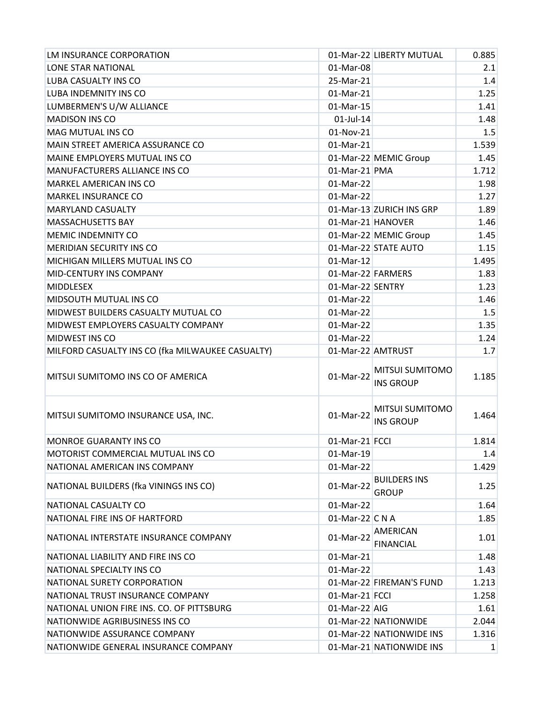| LM INSURANCE CORPORATION                         |                   | 01-Mar-22 LIBERTY MUTUAL                   | 0.885 |
|--------------------------------------------------|-------------------|--------------------------------------------|-------|
| LONE STAR NATIONAL                               | 01-Mar-08         |                                            | 2.1   |
| LUBA CASUALTY INS CO                             | 25-Mar-21         |                                            | 1.4   |
| LUBA INDEMNITY INS CO                            | 01-Mar-21         |                                            | 1.25  |
| LUMBERMEN'S U/W ALLIANCE                         | 01-Mar-15         |                                            | 1.41  |
| <b>MADISON INS CO</b>                            | $01$ -Jul-14      |                                            | 1.48  |
| <b>MAG MUTUAL INS CO</b>                         | 01-Nov-21         |                                            | 1.5   |
| MAIN STREET AMERICA ASSURANCE CO                 | 01-Mar-21         |                                            | 1.539 |
| MAINE EMPLOYERS MUTUAL INS CO                    |                   | 01-Mar-22 MEMIC Group                      | 1.45  |
| MANUFACTURERS ALLIANCE INS CO                    | 01-Mar-21 PMA     |                                            | 1.712 |
| <b>MARKEL AMERICAN INS CO</b>                    | 01-Mar-22         |                                            | 1.98  |
| <b>MARKEL INSURANCE CO</b>                       | 01-Mar-22         |                                            | 1.27  |
| <b>MARYLAND CASUALTY</b>                         |                   | 01-Mar-13 ZURICH INS GRP                   | 1.89  |
| <b>MASSACHUSETTS BAY</b>                         | 01-Mar-21 HANOVER |                                            | 1.46  |
| <b>MEMIC INDEMNITY CO</b>                        |                   | 01-Mar-22 MEMIC Group                      | 1.45  |
| <b>MERIDIAN SECURITY INS CO</b>                  |                   | 01-Mar-22 STATE AUTO                       | 1.15  |
| MICHIGAN MILLERS MUTUAL INS CO                   | 01-Mar-12         |                                            | 1.495 |
| MID-CENTURY INS COMPANY                          | 01-Mar-22 FARMERS |                                            | 1.83  |
| <b>MIDDLESEX</b>                                 | 01-Mar-22 SENTRY  |                                            | 1.23  |
| <b>MIDSOUTH MUTUAL INS CO</b>                    | 01-Mar-22         |                                            | 1.46  |
| MIDWEST BUILDERS CASUALTY MUTUAL CO              | 01-Mar-22         |                                            | 1.5   |
| MIDWEST EMPLOYERS CASUALTY COMPANY               | 01-Mar-22         |                                            | 1.35  |
| MIDWEST INS CO                                   | 01-Mar-22         |                                            | 1.24  |
|                                                  |                   |                                            |       |
| MILFORD CASUALTY INS CO (fka MILWAUKEE CASUALTY) |                   | 01-Mar-22 AMTRUST                          | 1.7   |
| MITSUI SUMITOMO INS CO OF AMERICA                | 01-Mar-22         | <b>MITSUI SUMITOMO</b><br><b>INS GROUP</b> | 1.185 |
| MITSUI SUMITOMO INSURANCE USA, INC.              | 01-Mar-22         | <b>MITSUI SUMITOMO</b><br><b>INS GROUP</b> | 1.464 |
| <b>MONROE GUARANTY INS CO</b>                    | 01-Mar-21 FCCI    |                                            | 1.814 |
| MOTORIST COMMERCIAL MUTUAL INS CO                | 01-Mar-19         |                                            | 1.4   |
| NATIONAL AMERICAN INS COMPANY                    | 01-Mar-22         |                                            | 1.429 |
| NATIONAL BUILDERS (fka VININGS INS CO)           | 01-Mar-22         | <b>BUILDERS INS</b><br><b>GROUP</b>        | 1.25  |
| NATIONAL CASUALTY CO                             | 01-Mar-22         |                                            | 1.64  |
| NATIONAL FIRE INS OF HARTFORD                    | 01-Mar-22 C N A   |                                            | 1.85  |
| NATIONAL INTERSTATE INSURANCE COMPANY            | 01-Mar-22         | <b>AMERICAN</b><br><b>FINANCIAL</b>        | 1.01  |
| NATIONAL LIABILITY AND FIRE INS CO               | 01-Mar-21         |                                            | 1.48  |
| NATIONAL SPECIALTY INS CO                        | 01-Mar-22         |                                            | 1.43  |
| NATIONAL SURETY CORPORATION                      |                   | 01-Mar-22 FIREMAN'S FUND                   | 1.213 |
| NATIONAL TRUST INSURANCE COMPANY                 | 01-Mar-21 FCCI    |                                            | 1.258 |
| NATIONAL UNION FIRE INS. CO. OF PITTSBURG        | 01-Mar-22 AIG     |                                            | 1.61  |
| NATIONWIDE AGRIBUSINESS INS CO                   |                   | 01-Mar-22 NATIONWIDE                       | 2.044 |
| NATIONWIDE ASSURANCE COMPANY                     |                   | 01-Mar-22 NATIONWIDE INS                   | 1.316 |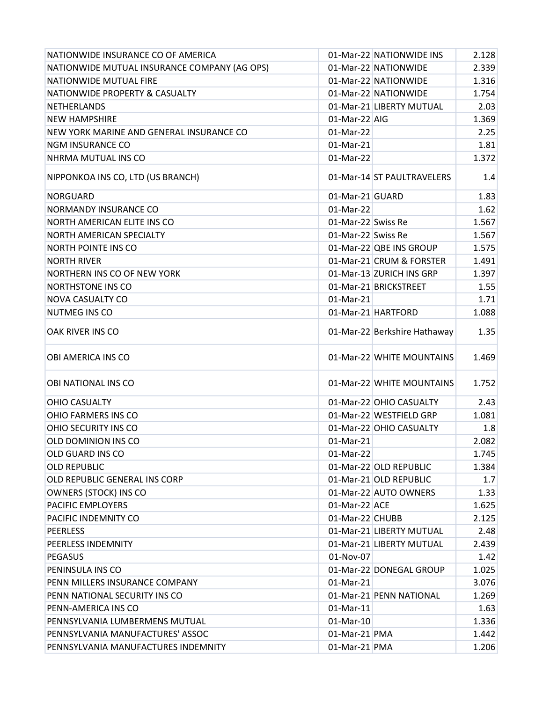| NATIONWIDE INSURANCE CO OF AMERICA           |                    | 01-Mar-22 NATIONWIDE INS     | 2.128 |
|----------------------------------------------|--------------------|------------------------------|-------|
| NATIONWIDE MUTUAL INSURANCE COMPANY (AG OPS) |                    | 01-Mar-22 NATIONWIDE         | 2.339 |
| NATIONWIDE MUTUAL FIRE                       |                    | 01-Mar-22 NATIONWIDE         | 1.316 |
| NATIONWIDE PROPERTY & CASUALTY               |                    | 01-Mar-22 NATIONWIDE         | 1.754 |
| <b>NETHERLANDS</b>                           |                    | 01-Mar-21 LIBERTY MUTUAL     | 2.03  |
| <b>NEW HAMPSHIRE</b>                         | 01-Mar-22 AIG      |                              | 1.369 |
| NEW YORK MARINE AND GENERAL INSURANCE CO     | 01-Mar-22          |                              | 2.25  |
| <b>NGM INSURANCE CO</b>                      | 01-Mar-21          |                              | 1.81  |
| NHRMA MUTUAL INS CO                          | 01-Mar-22          |                              | 1.372 |
| NIPPONKOA INS CO, LTD (US BRANCH)            |                    | 01-Mar-14 ST PAULTRAVELERS   | 1.4   |
| <b>NORGUARD</b>                              | 01-Mar-21 GUARD    |                              | 1.83  |
| NORMANDY INSURANCE CO                        | 01-Mar-22          |                              | 1.62  |
| NORTH AMERICAN ELITE INS CO                  | 01-Mar-22 Swiss Re |                              | 1.567 |
| <b>NORTH AMERICAN SPECIALTY</b>              | 01-Mar-22 Swiss Re |                              | 1.567 |
| <b>NORTH POINTE INS CO</b>                   |                    | 01-Mar-22 QBE INS GROUP      | 1.575 |
| <b>NORTH RIVER</b>                           |                    | 01-Mar-21 CRUM & FORSTER     | 1.491 |
| NORTHERN INS CO OF NEW YORK                  |                    | 01-Mar-13 ZURICH INS GRP     | 1.397 |
| <b>NORTHSTONE INS CO</b>                     |                    | 01-Mar-21 BRICKSTREET        | 1.55  |
| <b>NOVA CASUALTY CO</b>                      | 01-Mar-21          |                              | 1.71  |
| NUTMEG INS CO                                |                    | 01-Mar-21 HARTFORD           | 1.088 |
| OAK RIVER INS CO                             |                    | 01-Mar-22 Berkshire Hathaway | 1.35  |
| OBI AMERICA INS CO                           |                    | 01-Mar-22 WHITE MOUNTAINS    | 1.469 |
| OBI NATIONAL INS CO                          |                    | 01-Mar-22 WHITE MOUNTAINS    | 1.752 |
| <b>OHIO CASUALTY</b>                         |                    | 01-Mar-22 OHIO CASUALTY      | 2.43  |
| OHIO FARMERS INS CO                          |                    | 01-Mar-22 WESTFIELD GRP      | 1.081 |
| OHIO SECURITY INS CO                         |                    | 01-Mar-22 OHIO CASUALTY      | 1.8   |
| OLD DOMINION INS CO                          | 01-Mar-21          |                              | 2.082 |
| OLD GUARD INS CO                             | 01-Mar-22          |                              | 1.745 |
| <b>OLD REPUBLIC</b>                          |                    | 01-Mar-22 OLD REPUBLIC       | 1.384 |
| OLD REPUBLIC GENERAL INS CORP                |                    | 01-Mar-21 OLD REPUBLIC       | 1.7   |
| <b>OWNERS (STOCK) INS CO</b>                 |                    | 01-Mar-22 AUTO OWNERS        | 1.33  |
| PACIFIC EMPLOYERS                            | 01-Mar-22 ACE      |                              | 1.625 |
| PACIFIC INDEMNITY CO                         | 01-Mar-22 CHUBB    |                              | 2.125 |
| <b>PEERLESS</b>                              |                    | 01-Mar-21 LIBERTY MUTUAL     | 2.48  |
| <b>PEERLESS INDEMNITY</b>                    |                    | 01-Mar-21 LIBERTY MUTUAL     | 2.439 |
| <b>PEGASUS</b>                               | 01-Nov-07          |                              | 1.42  |
| PENINSULA INS CO                             |                    | 01-Mar-22 DONEGAL GROUP      | 1.025 |
| PENN MILLERS INSURANCE COMPANY               | 01-Mar-21          |                              | 3.076 |
| PENN NATIONAL SECURITY INS CO                |                    | 01-Mar-21 PENN NATIONAL      | 1.269 |
| PENN-AMERICA INS CO                          | 01-Mar-11          |                              | 1.63  |
| PENNSYLVANIA LUMBERMENS MUTUAL               | 01-Mar-10          |                              | 1.336 |
| PENNSYLVANIA MANUFACTURES' ASSOC             | 01-Mar-21 PMA      |                              | 1.442 |
| PENNSYLVANIA MANUFACTURES INDEMNITY          | 01-Mar-21 PMA      |                              | 1.206 |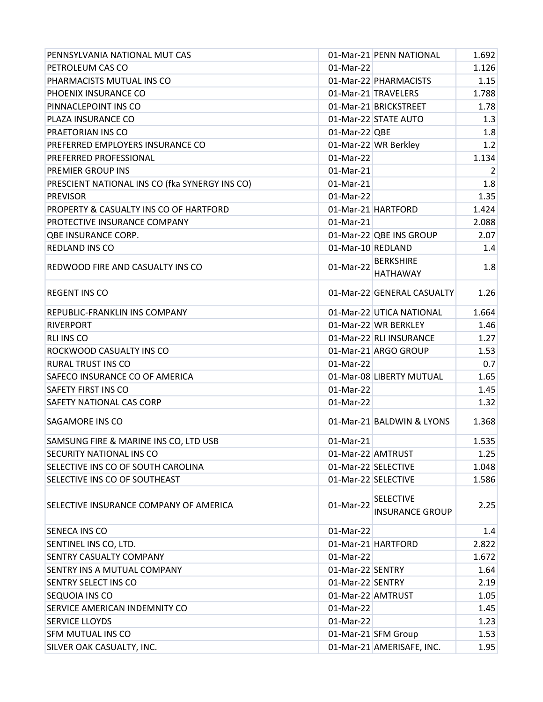| PENNSYLVANIA NATIONAL MUT CAS                  |                     | 01-Mar-21 PENN NATIONAL                    | 1.692          |
|------------------------------------------------|---------------------|--------------------------------------------|----------------|
| PETROLEUM CAS CO                               | 01-Mar-22           |                                            | 1.126          |
| PHARMACISTS MUTUAL INS CO                      |                     | 01-Mar-22 PHARMACISTS                      | 1.15           |
| PHOENIX INSURANCE CO                           |                     | 01-Mar-21 TRAVELERS                        | 1.788          |
| PINNACLEPOINT INS CO                           |                     | 01-Mar-21 BRICKSTREET                      | 1.78           |
| PLAZA INSURANCE CO                             |                     | 01-Mar-22 STATE AUTO                       | 1.3            |
| PRAETORIAN INS CO                              | $01$ -Mar-22 QBE    |                                            | 1.8            |
| PREFERRED EMPLOYERS INSURANCE CO               |                     | 01-Mar-22 WR Berkley                       | 1.2            |
| PREFERRED PROFESSIONAL                         | 01-Mar-22           |                                            | 1.134          |
| PREMIER GROUP INS                              | 01-Mar-21           |                                            | $\overline{2}$ |
| PRESCIENT NATIONAL INS CO (fka SYNERGY INS CO) | 01-Mar-21           |                                            | 1.8            |
| <b>PREVISOR</b>                                | 01-Mar-22           |                                            | 1.35           |
| PROPERTY & CASUALTY INS CO OF HARTFORD         |                     | 01-Mar-21 HARTFORD                         | 1.424          |
| PROTECTIVE INSURANCE COMPANY                   | $01-Mar-21$         |                                            | 2.088          |
| <b>QBE INSURANCE CORP.</b>                     |                     | 01-Mar-22 QBE INS GROUP                    | 2.07           |
| REDLAND INS CO                                 | 01-Mar-10 REDLAND   |                                            | 1.4            |
| REDWOOD FIRE AND CASUALTY INS CO               | 01-Mar-22           | <b>BERKSHIRE</b>                           | 1.8            |
|                                                |                     | <b>HATHAWAY</b>                            |                |
| <b>REGENT INS CO</b>                           |                     | 01-Mar-22 GENERAL CASUALTY                 | 1.26           |
| REPUBLIC-FRANKLIN INS COMPANY                  |                     | 01-Mar-22 UTICA NATIONAL                   | 1.664          |
| <b>RIVERPORT</b>                               |                     | 01-Mar-22 WR BERKLEY                       | 1.46           |
| <b>RLI INS CO</b>                              |                     | 01-Mar-22 RLI INSURANCE                    | 1.27           |
| ROCKWOOD CASUALTY INS CO                       |                     | 01-Mar-21 ARGO GROUP                       | 1.53           |
| <b>RURAL TRUST INS CO</b>                      | 01-Mar-22           |                                            | 0.7            |
| SAFECO INSURANCE CO OF AMERICA                 |                     | 01-Mar-08 LIBERTY MUTUAL                   | 1.65           |
| SAFETY FIRST INS CO                            | 01-Mar-22           |                                            | 1.45           |
| SAFETY NATIONAL CAS CORP                       | 01-Mar-22           |                                            | 1.32           |
| SAGAMORE INS CO                                |                     | 01-Mar-21 BALDWIN & LYONS                  | 1.368          |
| SAMSUNG FIRE & MARINE INS CO, LTD USB          | 01-Mar-21           |                                            | 1.535          |
| SECURITY NATIONAL INS CO                       | 01-Mar-22 AMTRUST   |                                            | 1.25           |
| SELECTIVE INS CO OF SOUTH CAROLINA             |                     | 01-Mar-22 SELECTIVE                        | 1.048          |
| SELECTIVE INS CO OF SOUTHEAST                  | 01-Mar-22 SELECTIVE |                                            | 1.586          |
| SELECTIVE INSURANCE COMPANY OF AMERICA         | 01-Mar-22           | <b>SELECTIVE</b><br><b>INSURANCE GROUP</b> | 2.25           |
| SENECA INS CO                                  | 01-Mar-22           |                                            | 1.4            |
| SENTINEL INS CO, LTD.                          |                     | 01-Mar-21 HARTFORD                         | 2.822          |
| SENTRY CASUALTY COMPANY                        | 01-Mar-22           |                                            | 1.672          |
| SENTRY INS A MUTUAL COMPANY                    | 01-Mar-22 SENTRY    |                                            | 1.64           |
| SENTRY SELECT INS CO                           | 01-Mar-22 SENTRY    |                                            | 2.19           |
| SEQUOIA INS CO                                 | 01-Mar-22 AMTRUST   |                                            | 1.05           |
| SERVICE AMERICAN INDEMNITY CO                  | 01-Mar-22           |                                            | 1.45           |
| <b>SERVICE LLOYDS</b>                          | 01-Mar-22           |                                            | 1.23           |
| SFM MUTUAL INS CO                              |                     | 01-Mar-21 SFM Group                        | 1.53           |
| SILVER OAK CASUALTY, INC.                      |                     | 01-Mar-21 AMERISAFE, INC.                  | 1.95           |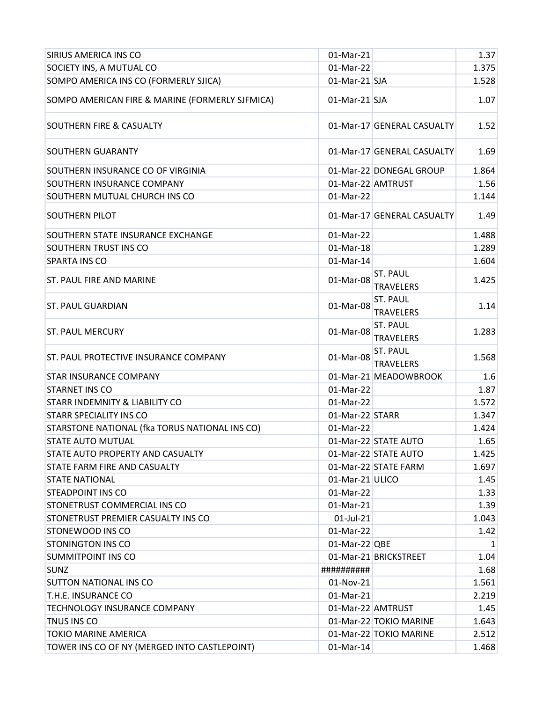| SIRIUS AMERICA INS CO                           | 01-Mar-21         |                              | 1.37         |
|-------------------------------------------------|-------------------|------------------------------|--------------|
| SOCIETY INS, A MUTUAL CO                        | 01-Mar-22         |                              | 1.375        |
| SOMPO AMERICA INS CO (FORMERLY SJICA)           | 01-Mar-21 SJA     |                              | 1.528        |
| SOMPO AMERICAN FIRE & MARINE (FORMERLY SJFMICA) | 01-Mar-21 SJA     |                              | 1.07         |
| <b>SOUTHERN FIRE &amp; CASUALTY</b>             |                   | 01-Mar-17 GENERAL CASUALTY   | 1.52         |
| <b>SOUTHERN GUARANTY</b>                        |                   | 01-Mar-17 GENERAL CASUALTY   | 1.69         |
| SOUTHERN INSURANCE CO OF VIRGINIA               |                   | 01-Mar-22 DONEGAL GROUP      | 1.864        |
| SOUTHERN INSURANCE COMPANY                      | 01-Mar-22 AMTRUST |                              | 1.56         |
| SOUTHERN MUTUAL CHURCH INS CO                   | 01-Mar-22         |                              | 1.144        |
| <b>SOUTHERN PILOT</b>                           |                   | 01-Mar-17 GENERAL CASUALTY   | 1.49         |
| SOUTHERN STATE INSURANCE EXCHANGE               | 01-Mar-22         |                              | 1.488        |
| SOUTHERN TRUST INS CO                           | 01-Mar-18         |                              | 1.289        |
| SPARTA INS CO                                   | 01-Mar-14         |                              | 1.604        |
| ST. PAUL FIRE AND MARINE                        | 01-Mar-08         | ST. PAUL<br><b>TRAVELERS</b> | 1.425        |
| <b>ST. PAUL GUARDIAN</b>                        | 01-Mar-08         | ST. PAUL<br><b>TRAVELERS</b> | 1.14         |
| <b>ST. PAUL MERCURY</b>                         | 01-Mar-08         | ST. PAUL<br><b>TRAVELERS</b> | 1.283        |
| ST. PAUL PROTECTIVE INSURANCE COMPANY           | 01-Mar-08         | ST. PAUL<br><b>TRAVELERS</b> | 1.568        |
| <b>STAR INSURANCE COMPANY</b>                   |                   | 01-Mar-21 MEADOWBROOK        | 1.6          |
| <b>STARNET INS CO</b>                           | 01-Mar-22         |                              | 1.87         |
| <b>STARR INDEMNITY &amp; LIABILITY CO</b>       | 01-Mar-22         |                              | 1.572        |
| <b>STARR SPECIALITY INS CO</b>                  | 01-Mar-22 STARR   |                              | 1.347        |
| STARSTONE NATIONAL (fka TORUS NATIONAL INS CO)  | 01-Mar-22         |                              | 1.424        |
| STATE AUTO MUTUAL                               |                   | 01-Mar-22 STATE AUTO         | 1.65         |
| STATE AUTO PROPERTY AND CASUALTY                |                   | 01-Mar-22 STATE AUTO         | 1.425        |
| STATE FARM FIRE AND CASUALTY                    |                   | 01-Mar-22 STATE FARM         | 1.697        |
| <b>STATE NATIONAL</b>                           | 01-Mar-21 ULICO   |                              | 1.45         |
| <b>STEADPOINT INS CO</b>                        | 01-Mar-22         |                              | 1.33         |
| STONETRUST COMMERCIAL INS CO                    | 01-Mar-21         |                              | 1.39         |
| STONETRUST PREMIER CASUALTY INS CO              | $01$ -Jul-21      |                              | 1.043        |
| STONEWOOD INS CO                                | 01-Mar-22         |                              | 1.42         |
| <b>STONINGTON INS CO</b>                        | $01$ -Mar-22 QBE  |                              | $\mathbf{1}$ |
| <b>SUMMITPOINT INS CO</b>                       |                   | 01-Mar-21 BRICKSTREET        | 1.04         |
| <b>SUNZ</b>                                     | ##########        |                              | 1.68         |
| <b>SUTTON NATIONAL INS CO</b>                   | 01-Nov-21         |                              | 1.561        |
| T.H.E. INSURANCE CO                             | 01-Mar-21         |                              | 2.219        |
| TECHNOLOGY INSURANCE COMPANY                    | 01-Mar-22 AMTRUST |                              | 1.45         |
| TNUS INS CO                                     |                   | 01-Mar-22 TOKIO MARINE       | 1.643        |
| <b>TOKIO MARINE AMERICA</b>                     |                   | 01-Mar-22 TOKIO MARINE       | 2.512        |
| TOWER INS CO OF NY (MERGED INTO CASTLEPOINT)    | 01-Mar-14         |                              | 1.468        |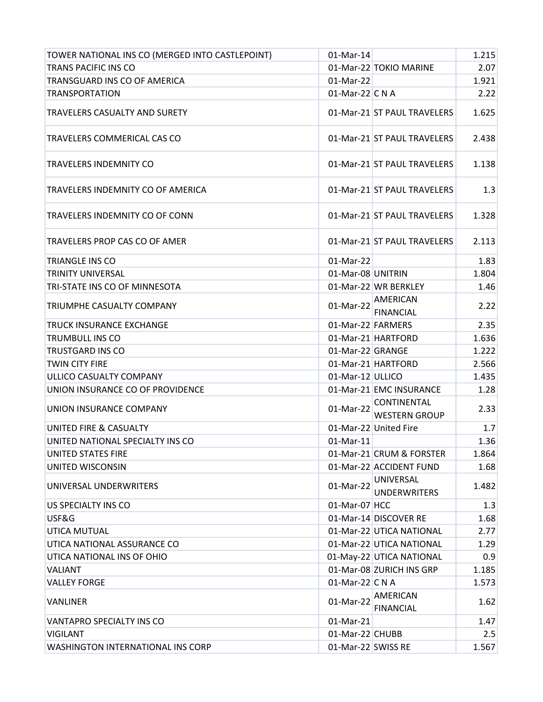| TOWER NATIONAL INS CO (MERGED INTO CASTLEPOINT) | 01-Mar-14          |                                            | 1.215 |
|-------------------------------------------------|--------------------|--------------------------------------------|-------|
| <b>TRANS PACIFIC INS CO</b>                     |                    | 01-Mar-22 TOKIO MARINE                     | 2.07  |
| TRANSGUARD INS CO OF AMERICA                    | 01-Mar-22          |                                            | 1.921 |
| <b>TRANSPORTATION</b>                           | 01-Mar-22 C N A    |                                            | 2.22  |
| <b>TRAVELERS CASUALTY AND SURETY</b>            |                    | 01-Mar-21 ST PAUL TRAVELERS                | 1.625 |
| TRAVELERS COMMERICAL CAS CO                     |                    | 01-Mar-21 ST PAUL TRAVELERS                | 2.438 |
| TRAVELERS INDEMNITY CO                          |                    | 01-Mar-21 ST PAUL TRAVELERS                | 1.138 |
| TRAVELERS INDEMNITY CO OF AMERICA               |                    | 01-Mar-21 ST PAUL TRAVELERS                | 1.3   |
| TRAVELERS INDEMNITY CO OF CONN                  |                    | 01-Mar-21 ST PAUL TRAVELERS                | 1.328 |
| <b>TRAVELERS PROP CAS CO OF AMER</b>            |                    | 01-Mar-21 ST PAUL TRAVELERS                | 2.113 |
| <b>TRIANGLE INS CO</b>                          | 01-Mar-22          |                                            | 1.83  |
| <b>TRINITY UNIVERSAL</b>                        | 01-Mar-08 UNITRIN  |                                            | 1.804 |
| TRI-STATE INS CO OF MINNESOTA                   |                    | 01-Mar-22 WR BERKLEY                       | 1.46  |
| TRIUMPHE CASUALTY COMPANY                       | 01-Mar-22          | <b>AMERICAN</b><br><b>FINANCIAL</b>        | 2.22  |
| <b>TRUCK INSURANCE EXCHANGE</b>                 | 01-Mar-22 FARMERS  |                                            | 2.35  |
| <b>TRUMBULL INS CO</b>                          |                    | 01-Mar-21 HARTFORD                         | 1.636 |
| <b>TRUSTGARD INS CO</b>                         | 01-Mar-22 GRANGE   |                                            | 1.222 |
| <b>TWIN CITY FIRE</b>                           |                    | 01-Mar-21 HARTFORD                         | 2.566 |
| ULLICO CASUALTY COMPANY                         | 01-Mar-12 ULLICO   |                                            | 1.435 |
| UNION INSURANCE CO OF PROVIDENCE                |                    | 01-Mar-21 EMC INSURANCE                    | 1.28  |
| UNION INSURANCE COMPANY                         | 01-Mar-22          | <b>CONTINENTAL</b><br><b>WESTERN GROUP</b> | 2.33  |
| UNITED FIRE & CASUALTY                          |                    | 01-Mar-22 United Fire                      | 1.7   |
| UNITED NATIONAL SPECIALTY INS CO                | 01-Mar-11          |                                            | 1.36  |
| <b>UNITED STATES FIRE</b>                       |                    | 01-Mar-21 CRUM & FORSTER                   | 1.864 |
| UNITED WISCONSIN                                |                    | 01-Mar-22 ACCIDENT FUND                    | 1.68  |
| UNIVERSAL UNDERWRITERS                          | 01-Mar-22          | <b>UNIVERSAL</b><br><b>UNDERWRITERS</b>    | 1.482 |
| US SPECIALTY INS CO                             | 01-Mar-07 HCC      |                                            | 1.3   |
| USF&G                                           |                    | 01-Mar-14 DISCOVER RE                      | 1.68  |
| UTICA MUTUAL                                    |                    | 01-Mar-22 UTICA NATIONAL                   | 2.77  |
| UTICA NATIONAL ASSURANCE CO                     |                    | 01-Mar-22 UTICA NATIONAL                   | 1.29  |
| UTICA NATIONAL INS OF OHIO                      |                    | 01-May-22 UTICA NATIONAL                   | 0.9   |
| <b>VALIANT</b>                                  |                    | 01-Mar-08 ZURICH INS GRP                   | 1.185 |
| <b>VALLEY FORGE</b>                             | 01-Mar-22 C N A    |                                            | 1.573 |
| <b>VANLINER</b>                                 | 01-Mar-22          | AMERICAN<br><b>FINANCIAL</b>               | 1.62  |
| <b>VANTAPRO SPECIALTY INS CO</b>                | 01-Mar-21          |                                            | 1.47  |
| <b>VIGILANT</b>                                 | 01-Mar-22 CHUBB    |                                            | 2.5   |
| <b>WASHINGTON INTERNATIONAL INS CORP</b>        | 01-Mar-22 SWISS RE |                                            | 1.567 |